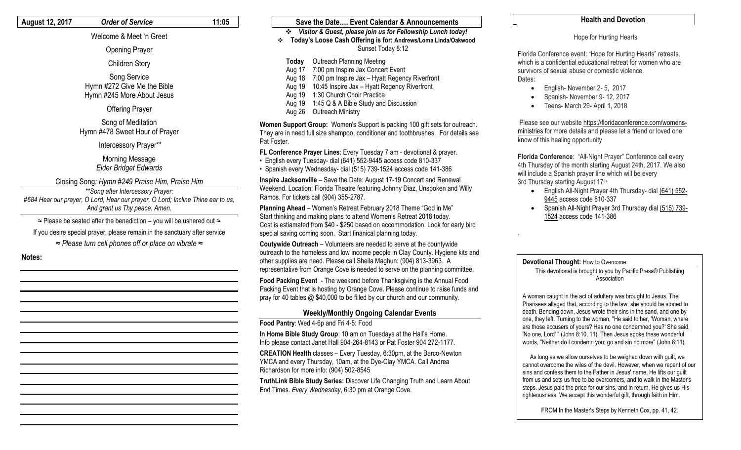#### **August 12, 2017** *Order of Service* **11:05**

### Welcome & Meet 'n Greet

Opening Prayer

#### Children Story

Song Service Hymn #272 Give Me the Bible Hymn #245 More About Jesus

Offering Prayer

Song of Meditation Hymn #478 Sweet Hour of Prayer

Intercessory Prayer\*\*

Morning Message *Elder Bridget Edwards*

Closing Song*: Hymn #249 Praise Him, Praise Him*

*\*\*Song after Intercessory Prayer: #684 Hear our prayer, O Lord, Hear our prayer, O Lord; Incline Thine ear to us, And grant us Thy peace. Amen.* 

≈ Please be seated after the benediction – you will be ushered out ≈

If you desire special prayer, please remain in the sanctuary after service

*≈ Please turn cell phones off or place on vibrate ≈*

**Notes:**

#### **Save the Date…. Event Calendar & Announcements** *Visitor & Guest, please join us for Fellowship Lunch today!* **Today's Loose Cash Offering is for: Andrews/Loma Linda/Oakwood** Sunset Today 8:12 **Today** Outreach Planning Meeting Aug 17 7:00 pm Inspire Jax Concert Event Aug 18 7:00 pm Inspire Jax – Hyatt Regency Riverfront

Aug 19 10:45 Inspire Jax – Hyatt Regency Riverfront

Aug 19 1:30 Church Choir Practice

Aug 19 1:45 Q & A Bible Study and Discussion

Aug 26 Outreach Ministry

**Women Support Group:** Women's Support is packing 100 gift sets for outreach. They are in need full size shampoo, conditioner and toothbrushes. For details see Pat Foster.

**FL Conference Prayer Lines**: Every Tuesday 7 am - devotional & prayer.

- English every Tuesday- dial (641) 552-9445 access code 810-337
- Spanish every Wednesday- dial (515) 739-1524 access code 141-386

**Inspire Jacksonville** – Save the Date: August 17-19 Concert and Renewal Weekend. Location: Florida Theatre featuring Johnny Diaz, Unspoken and Willy Ramos. For tickets call (904) 355-2787.

**Planning Ahead** – Women's Retreat February 2018 Theme "God in Me" Start thinking and making plans to attend Women's Retreat 2018 today. Cost is estiamated from \$40 - \$250 based on accommodation. Look for early bird special saving coming soon. Start finanical planning today.

**Coutywide Outreach** – Volunteers are needed to serve at the countywide outreach to the homeless and low income people in Clay County. Hygiene kits and other supplies are need. Please call Sheila Maghun: (904) 813-3963. A representative from Orange Cove is needed to serve on the planning committee.

**Food Packing Event** - The weekend before Thanksgiving is the Annual Food Packing Event that is hosting by Orange Cove. Please continue to raise funds and pray for 40 tables @ \$40,000 to be filled by our church and our community.

#### **Weekly/Monthly Ongoing Calendar Events**

**Food Pantry**: Wed 4-6p and Fri 4-5: Food

**In Home Bible Study Group**: 10 am on Tuesdays at the Hall's Home. Info please contact Janet Hall 904-264-8143 or Pat Foster 904 272-1177.

**CREATION Health** classes – Every Tuesday, 6:30pm, at the Barco-Newton YMCA and every Thursday, 10am, at the Dye-Clay YMCA. Call Andrea Richardson for more info: (904) 502-8545

**TruthLink Bible Study Series:** Discover Life Changing Truth and Learn About End Times. *Every Wednesday*, 6:30 pm at Orange Cove.

#### **Health and Devotion**

#### Hope for Hurting Hearts

Florida Conference event: "Hope for Hurting Hearts" retreats, which is a confidential educational retreat for women who are survivors of sexual abuse or domestic violence. Dates:

- English- November 2-5, 2017
- Spanish- November 9- 12, 2017
- Teens- March 29- April 1, 2018

Please see our websit[e https://floridaconference.com/womens](https://floridaconference.com/womens-ministries)[ministries](https://floridaconference.com/womens-ministries) for more details and please let a friend or loved one know of this healing opportunity

**Florida Conference**: "All-Night Prayer" Conference call every 4th Thursday of the month starting August 24th, 2017. We also will include a Spanish prayer line which will be every 3rd Thursday starting August 17th

- English All-Night Prayer 4th Thursday- dial [\(641\) 552-](tel:(641)%20552-9445) [9445](tel:(641)%20552-9445) access code 810-337
- Spanish All-Night Prayer 3rd Thursday dial [\(515\) 739-](tel:(515)%20739-1524) [1524](tel:(515)%20739-1524) access code 141-386

#### **Devotional Thought:** How to Overcome

.

This devotional is brought to you by Pacific Press® Publishing Association

A woman caught in the act of adultery was brought to Jesus. The Pharisees alleged that, according to the law, she should be stoned to death. Bending down, Jesus wrote their sins in the sand, and one by one, they left. Turning to the woman, "He said to her, 'Woman, where are those accusers of yours? Has no one condemned you?' She said, 'No one, Lord' " (John 8:10, 11). Then Jesus spoke these wonderful words, "Neither do I condemn you; go and sin no more" (John 8:11).

 As long as we allow ourselves to be weighed down with guilt, we cannot overcome the wiles of the devil. However, when we repent of our sins and confess them to the Father in Jesus' name, He lifts our guilt from us and sets us free to be overcomers, and to walk in the Master's steps. Jesus paid the price for our sins, and in return, He gives us His righteousness. We accept this wonderful gift, through faith in Him.

FROM In the Master's Steps by Kenneth Cox, pp. 41, 42.